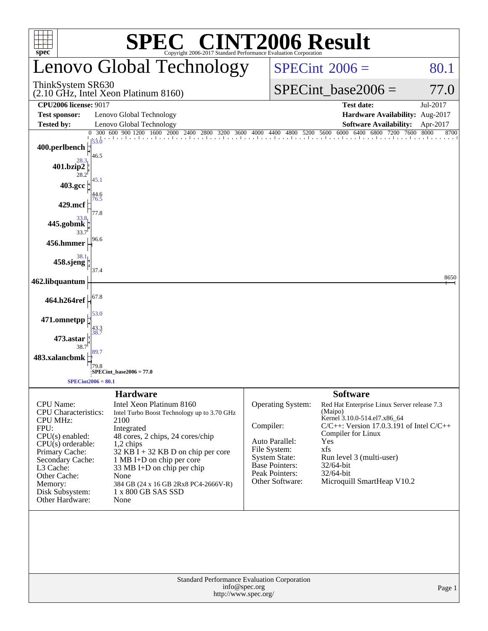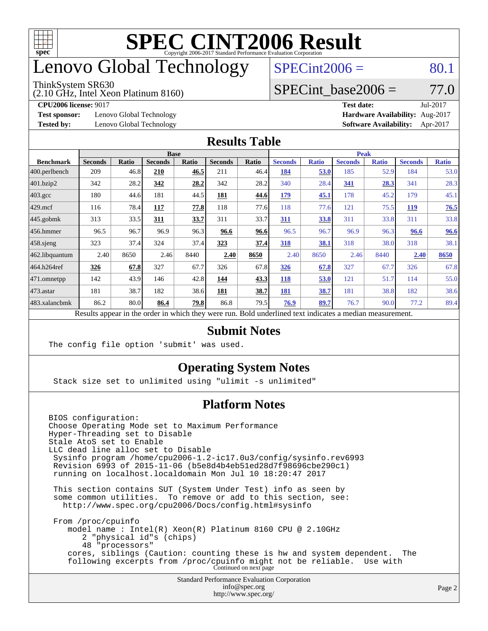

## enovo Global Technology

#### ThinkSystem SR630

(2.10 GHz, Intel Xeon Platinum 8160)

 $SPECint2006 = 80.1$  $SPECint2006 = 80.1$ 

### SPECint base2006 =  $77.0$

**[CPU2006 license:](http://www.spec.org/auto/cpu2006/Docs/result-fields.html#CPU2006license)** 9017 **[Test date:](http://www.spec.org/auto/cpu2006/Docs/result-fields.html#Testdate)** Jul-2017

**[Test sponsor:](http://www.spec.org/auto/cpu2006/Docs/result-fields.html#Testsponsor)** Lenovo Global Technology **[Hardware Availability:](http://www.spec.org/auto/cpu2006/Docs/result-fields.html#HardwareAvailability)** Aug-2017

**[Tested by:](http://www.spec.org/auto/cpu2006/Docs/result-fields.html#Testedby)** Lenovo Global Technology **[Software Availability:](http://www.spec.org/auto/cpu2006/Docs/result-fields.html#SoftwareAvailability)** Apr-2017

#### **[Results Table](http://www.spec.org/auto/cpu2006/Docs/result-fields.html#ResultsTable)**

|                                                                                                          |                |       | <b>Base</b>    |       |                |       |                | <b>Peak</b>  |                |              |                |              |
|----------------------------------------------------------------------------------------------------------|----------------|-------|----------------|-------|----------------|-------|----------------|--------------|----------------|--------------|----------------|--------------|
| <b>Benchmark</b>                                                                                         | <b>Seconds</b> | Ratio | <b>Seconds</b> | Ratio | <b>Seconds</b> | Ratio | <b>Seconds</b> | <b>Ratio</b> | <b>Seconds</b> | <b>Ratio</b> | <b>Seconds</b> | <b>Ratio</b> |
| 400.perlbench                                                                                            | 209            | 46.8  | 210            | 46.5  | 211            | 46.4  | 184            | 53.0         | 185            | 52.9         | 184            | 53.0         |
| 401.bzip2                                                                                                | 342            | 28.2  | 342            | 28.2  | 342            | 28.2  | 340            | 28.4         | 341            | 28.3         | 341            | 28.3         |
| $403.\text{gcc}$                                                                                         | 180            | 44.6  | 181            | 44.5  | 181            | 44.6  | 179            | 45.1         | 178            | 45.2         | 179            | 45.1         |
| $429$ .mcf                                                                                               | 116            | 78.4  | 117            | 77.8  | 118            | 77.6  | 118            | 77.6         | 121            | 75.5         | <b>119</b>     | 76.5         |
| $445$ .gobmk                                                                                             | 313            | 33.5  | 311            | 33.7  | 311            | 33.7  | 311            | 33.8         | 311            | 33.8         | 311            | 33.8         |
| 456.hmmer                                                                                                | 96.5           | 96.7  | 96.9           | 96.3  | 96.6           | 96.6  | 96.5           | 96.7         | 96.9           | 96.3         | 96.6           | 96.6         |
| $458$ .sjeng                                                                                             | 323            | 37.4  | 324            | 37.4  | 323            | 37.4  | 318            | 38.1         | 318            | 38.0         | 318            | 38.1         |
| 462.libquantum                                                                                           | 2.40           | 8650  | 2.46           | 8440  | 2.40           | 8650  | 2.40           | 8650         | 2.46           | 8440         | 2.40           | 8650         |
| 464.h264ref                                                                                              | 326            | 67.8  | 327            | 67.7  | 326            | 67.8  | 326            | 67.8         | 327            | 67.7         | 326            | 67.8         |
| 471.omnetpp                                                                                              | 142            | 43.9  | 146            | 42.8  | 144            | 43.3  | 118            | 53.0         | 121            | 51.7         | 114            | 55.0         |
| $473.$ astar                                                                                             | 181            | 38.7  | 182            | 38.6  | 181            | 38.7  | 181            | 38.7         | 181            | 38.8         | 182            | 38.6         |
| 483.xalancbmk                                                                                            | 86.2           | 80.0  | 86.4           | 79.8  | 86.8           | 79.5  | 76.9           | 89.7         | 76.7           | 90.0         | 77.2           | 89.4         |
| Results appear in the order in which they were run. Bold underlined text indicates a median measurement. |                |       |                |       |                |       |                |              |                |              |                |              |

#### **[Submit Notes](http://www.spec.org/auto/cpu2006/Docs/result-fields.html#SubmitNotes)**

The config file option 'submit' was used.

### **[Operating System Notes](http://www.spec.org/auto/cpu2006/Docs/result-fields.html#OperatingSystemNotes)**

Stack size set to unlimited using "ulimit -s unlimited"

### **[Platform Notes](http://www.spec.org/auto/cpu2006/Docs/result-fields.html#PlatformNotes)**

Standard Performance Evaluation Corporation [info@spec.org](mailto:info@spec.org) BIOS configuration: Choose Operating Mode set to Maximum Performance Hyper-Threading set to Disable Stale AtoS set to Enable LLC dead line alloc set to Disable Sysinfo program /home/cpu2006-1.2-ic17.0u3/config/sysinfo.rev6993 Revision 6993 of 2015-11-06 (b5e8d4b4eb51ed28d7f98696cbe290c1) running on localhost.localdomain Mon Jul 10 18:20:47 2017 This section contains SUT (System Under Test) info as seen by some common utilities. To remove or add to this section, see: <http://www.spec.org/cpu2006/Docs/config.html#sysinfo> From /proc/cpuinfo model name : Intel(R) Xeon(R) Platinum 8160 CPU @ 2.10GHz 2 "physical id"s (chips) 48 "processors" cores, siblings (Caution: counting these is hw and system dependent. The following excerpts from /proc/cpuinfo might not be reliable. Use with Continued on next page

<http://www.spec.org/>

Page 2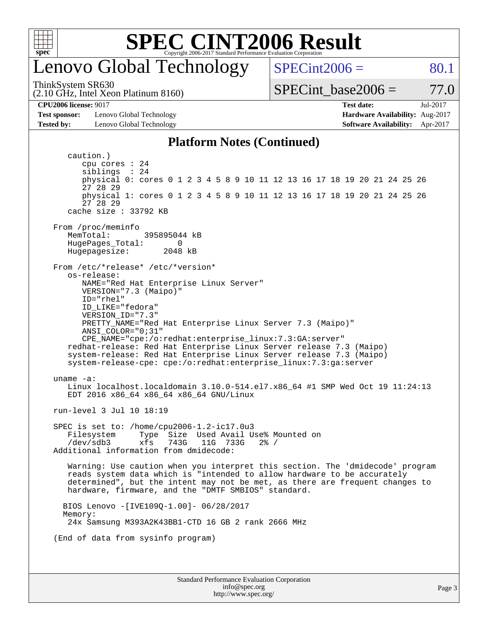

### enovo Global Technology

ThinkSystem SR630

(2.10 GHz, Intel Xeon Platinum 8160)

 $SPECint2006 = 80.1$  $SPECint2006 = 80.1$ 

SPECint base2006 =  $77.0$ 

**[CPU2006 license:](http://www.spec.org/auto/cpu2006/Docs/result-fields.html#CPU2006license)** 9017 **[Test date:](http://www.spec.org/auto/cpu2006/Docs/result-fields.html#Testdate)** Jul-2017

**[Test sponsor:](http://www.spec.org/auto/cpu2006/Docs/result-fields.html#Testsponsor)** Lenovo Global Technology **[Hardware Availability:](http://www.spec.org/auto/cpu2006/Docs/result-fields.html#HardwareAvailability)** Aug-2017 **[Tested by:](http://www.spec.org/auto/cpu2006/Docs/result-fields.html#Testedby)** Lenovo Global Technology **[Software Availability:](http://www.spec.org/auto/cpu2006/Docs/result-fields.html#SoftwareAvailability)** Apr-2017

### **[Platform Notes \(Continued\)](http://www.spec.org/auto/cpu2006/Docs/result-fields.html#PlatformNotes)**

Standard Performance Evaluation Corporation [info@spec.org](mailto:info@spec.org) <http://www.spec.org/> Page 3 caution.) cpu cores : 24 siblings : 24 physical 0: cores 0 1 2 3 4 5 8 9 10 11 12 13 16 17 18 19 20 21 24 25 26 27 28 29 physical 1: cores 0 1 2 3 4 5 8 9 10 11 12 13 16 17 18 19 20 21 24 25 26 27 28 29 cache size : 33792 KB From /proc/meminfo<br>MemTotal: 395895044 kB HugePages\_Total: 0 Hugepagesize: 2048 kB From /etc/\*release\* /etc/\*version\* os-release: NAME="Red Hat Enterprise Linux Server" VERSION="7.3 (Maipo)" ID="rhel" ID\_LIKE="fedora" VERSION\_ID="7.3" PRETTY\_NAME="Red Hat Enterprise Linux Server 7.3 (Maipo)" ANSI\_COLOR="0;31" CPE\_NAME="cpe:/o:redhat:enterprise\_linux:7.3:GA:server" redhat-release: Red Hat Enterprise Linux Server release 7.3 (Maipo) system-release: Red Hat Enterprise Linux Server release 7.3 (Maipo) system-release-cpe: cpe:/o:redhat:enterprise\_linux:7.3:ga:server uname -a: Linux localhost.localdomain 3.10.0-514.el7.x86\_64 #1 SMP Wed Oct 19 11:24:13 EDT 2016 x86\_64 x86\_64 x86\_64 GNU/Linux run-level 3 Jul 10 18:19 SPEC is set to: /home/cpu2006-1.2-ic17.0u3 Filesystem Type Size Used Avail Use% Mounted on /dev/sdb3 xfs 743G 11G 733G 2% / Additional information from dmidecode: Warning: Use caution when you interpret this section. The 'dmidecode' program reads system data which is "intended to allow hardware to be accurately determined", but the intent may not be met, as there are frequent changes to hardware, firmware, and the "DMTF SMBIOS" standard. BIOS Lenovo -[IVE109Q-1.00]- 06/28/2017 Memory: 24x Samsung M393A2K43BB1-CTD 16 GB 2 rank 2666 MHz (End of data from sysinfo program)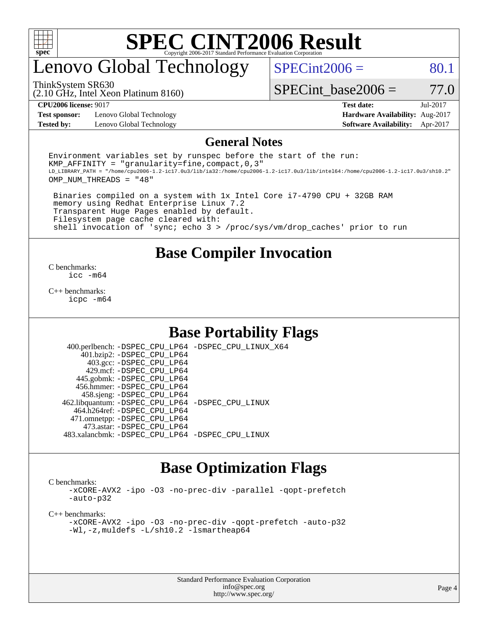

## enovo Global Technology

ThinkSystem SR630

 $SPECint2006 = 80.1$  $SPECint2006 = 80.1$ 

(2.10 GHz, Intel Xeon Platinum 8160)

SPECint base2006 =  $77.0$ 

**[Test sponsor:](http://www.spec.org/auto/cpu2006/Docs/result-fields.html#Testsponsor)** Lenovo Global Technology **[Hardware Availability:](http://www.spec.org/auto/cpu2006/Docs/result-fields.html#HardwareAvailability)** Aug-2017

**[CPU2006 license:](http://www.spec.org/auto/cpu2006/Docs/result-fields.html#CPU2006license)** 9017 **[Test date:](http://www.spec.org/auto/cpu2006/Docs/result-fields.html#Testdate)** Jul-2017 **[Tested by:](http://www.spec.org/auto/cpu2006/Docs/result-fields.html#Testedby)** Lenovo Global Technology **[Software Availability:](http://www.spec.org/auto/cpu2006/Docs/result-fields.html#SoftwareAvailability)** Apr-2017

#### **[General Notes](http://www.spec.org/auto/cpu2006/Docs/result-fields.html#GeneralNotes)**

Environment variables set by runspec before the start of the run: KMP AFFINITY = "granularity=fine, compact,  $0,3$ " LD\_LIBRARY\_PATH = "/home/cpu2006-1.2-ic17.0u3/lib/ia32:/home/cpu2006-1.2-ic17.0u3/lib/intel64:/home/cpu2006-1.2-ic17.0u3/sh10.2" OMP\_NUM\_THREADS = "48"

 Binaries compiled on a system with 1x Intel Core i7-4790 CPU + 32GB RAM memory using Redhat Enterprise Linux 7.2 Transparent Huge Pages enabled by default. Filesystem page cache cleared with: shell invocation of 'sync; echo 3 > /proc/sys/vm/drop\_caches' prior to run

### **[Base Compiler Invocation](http://www.spec.org/auto/cpu2006/Docs/result-fields.html#BaseCompilerInvocation)**

[C benchmarks](http://www.spec.org/auto/cpu2006/Docs/result-fields.html#Cbenchmarks): [icc -m64](http://www.spec.org/cpu2006/results/res2017q4/cpu2006-20170918-49563.flags.html#user_CCbase_intel_icc_64bit_bda6cc9af1fdbb0edc3795bac97ada53)

[C++ benchmarks:](http://www.spec.org/auto/cpu2006/Docs/result-fields.html#CXXbenchmarks) [icpc -m64](http://www.spec.org/cpu2006/results/res2017q4/cpu2006-20170918-49563.flags.html#user_CXXbase_intel_icpc_64bit_fc66a5337ce925472a5c54ad6a0de310)

### **[Base Portability Flags](http://www.spec.org/auto/cpu2006/Docs/result-fields.html#BasePortabilityFlags)**

 400.perlbench: [-DSPEC\\_CPU\\_LP64](http://www.spec.org/cpu2006/results/res2017q4/cpu2006-20170918-49563.flags.html#b400.perlbench_basePORTABILITY_DSPEC_CPU_LP64) [-DSPEC\\_CPU\\_LINUX\\_X64](http://www.spec.org/cpu2006/results/res2017q4/cpu2006-20170918-49563.flags.html#b400.perlbench_baseCPORTABILITY_DSPEC_CPU_LINUX_X64) 401.bzip2: [-DSPEC\\_CPU\\_LP64](http://www.spec.org/cpu2006/results/res2017q4/cpu2006-20170918-49563.flags.html#suite_basePORTABILITY401_bzip2_DSPEC_CPU_LP64) 403.gcc: [-DSPEC\\_CPU\\_LP64](http://www.spec.org/cpu2006/results/res2017q4/cpu2006-20170918-49563.flags.html#suite_basePORTABILITY403_gcc_DSPEC_CPU_LP64) 429.mcf: [-DSPEC\\_CPU\\_LP64](http://www.spec.org/cpu2006/results/res2017q4/cpu2006-20170918-49563.flags.html#suite_basePORTABILITY429_mcf_DSPEC_CPU_LP64) 445.gobmk: [-DSPEC\\_CPU\\_LP64](http://www.spec.org/cpu2006/results/res2017q4/cpu2006-20170918-49563.flags.html#suite_basePORTABILITY445_gobmk_DSPEC_CPU_LP64) 456.hmmer: [-DSPEC\\_CPU\\_LP64](http://www.spec.org/cpu2006/results/res2017q4/cpu2006-20170918-49563.flags.html#suite_basePORTABILITY456_hmmer_DSPEC_CPU_LP64) 458.sjeng: [-DSPEC\\_CPU\\_LP64](http://www.spec.org/cpu2006/results/res2017q4/cpu2006-20170918-49563.flags.html#suite_basePORTABILITY458_sjeng_DSPEC_CPU_LP64) 462.libquantum: [-DSPEC\\_CPU\\_LP64](http://www.spec.org/cpu2006/results/res2017q4/cpu2006-20170918-49563.flags.html#suite_basePORTABILITY462_libquantum_DSPEC_CPU_LP64) [-DSPEC\\_CPU\\_LINUX](http://www.spec.org/cpu2006/results/res2017q4/cpu2006-20170918-49563.flags.html#b462.libquantum_baseCPORTABILITY_DSPEC_CPU_LINUX) 464.h264ref: [-DSPEC\\_CPU\\_LP64](http://www.spec.org/cpu2006/results/res2017q4/cpu2006-20170918-49563.flags.html#suite_basePORTABILITY464_h264ref_DSPEC_CPU_LP64) 471.omnetpp: [-DSPEC\\_CPU\\_LP64](http://www.spec.org/cpu2006/results/res2017q4/cpu2006-20170918-49563.flags.html#suite_basePORTABILITY471_omnetpp_DSPEC_CPU_LP64) 473.astar: [-DSPEC\\_CPU\\_LP64](http://www.spec.org/cpu2006/results/res2017q4/cpu2006-20170918-49563.flags.html#suite_basePORTABILITY473_astar_DSPEC_CPU_LP64) 483.xalancbmk: [-DSPEC\\_CPU\\_LP64](http://www.spec.org/cpu2006/results/res2017q4/cpu2006-20170918-49563.flags.html#suite_basePORTABILITY483_xalancbmk_DSPEC_CPU_LP64) [-DSPEC\\_CPU\\_LINUX](http://www.spec.org/cpu2006/results/res2017q4/cpu2006-20170918-49563.flags.html#b483.xalancbmk_baseCXXPORTABILITY_DSPEC_CPU_LINUX)

### **[Base Optimization Flags](http://www.spec.org/auto/cpu2006/Docs/result-fields.html#BaseOptimizationFlags)**

[C benchmarks](http://www.spec.org/auto/cpu2006/Docs/result-fields.html#Cbenchmarks):

[-xCORE-AVX2](http://www.spec.org/cpu2006/results/res2017q4/cpu2006-20170918-49563.flags.html#user_CCbase_f-xCORE-AVX2) [-ipo](http://www.spec.org/cpu2006/results/res2017q4/cpu2006-20170918-49563.flags.html#user_CCbase_f-ipo) [-O3](http://www.spec.org/cpu2006/results/res2017q4/cpu2006-20170918-49563.flags.html#user_CCbase_f-O3) [-no-prec-div](http://www.spec.org/cpu2006/results/res2017q4/cpu2006-20170918-49563.flags.html#user_CCbase_f-no-prec-div) [-parallel](http://www.spec.org/cpu2006/results/res2017q4/cpu2006-20170918-49563.flags.html#user_CCbase_f-parallel) [-qopt-prefetch](http://www.spec.org/cpu2006/results/res2017q4/cpu2006-20170918-49563.flags.html#user_CCbase_f-qopt-prefetch) [-auto-p32](http://www.spec.org/cpu2006/results/res2017q4/cpu2006-20170918-49563.flags.html#user_CCbase_f-auto-p32)

[C++ benchmarks:](http://www.spec.org/auto/cpu2006/Docs/result-fields.html#CXXbenchmarks)

[-xCORE-AVX2](http://www.spec.org/cpu2006/results/res2017q4/cpu2006-20170918-49563.flags.html#user_CXXbase_f-xCORE-AVX2) [-ipo](http://www.spec.org/cpu2006/results/res2017q4/cpu2006-20170918-49563.flags.html#user_CXXbase_f-ipo) [-O3](http://www.spec.org/cpu2006/results/res2017q4/cpu2006-20170918-49563.flags.html#user_CXXbase_f-O3) [-no-prec-div](http://www.spec.org/cpu2006/results/res2017q4/cpu2006-20170918-49563.flags.html#user_CXXbase_f-no-prec-div) [-qopt-prefetch](http://www.spec.org/cpu2006/results/res2017q4/cpu2006-20170918-49563.flags.html#user_CXXbase_f-qopt-prefetch) [-auto-p32](http://www.spec.org/cpu2006/results/res2017q4/cpu2006-20170918-49563.flags.html#user_CXXbase_f-auto-p32) [-Wl,-z,muldefs](http://www.spec.org/cpu2006/results/res2017q4/cpu2006-20170918-49563.flags.html#user_CXXbase_link_force_multiple1_74079c344b956b9658436fd1b6dd3a8a) [-L/sh10.2 -lsmartheap64](http://www.spec.org/cpu2006/results/res2017q4/cpu2006-20170918-49563.flags.html#user_CXXbase_SmartHeap64_63911d860fc08c15fa1d5bf319b9d8d5)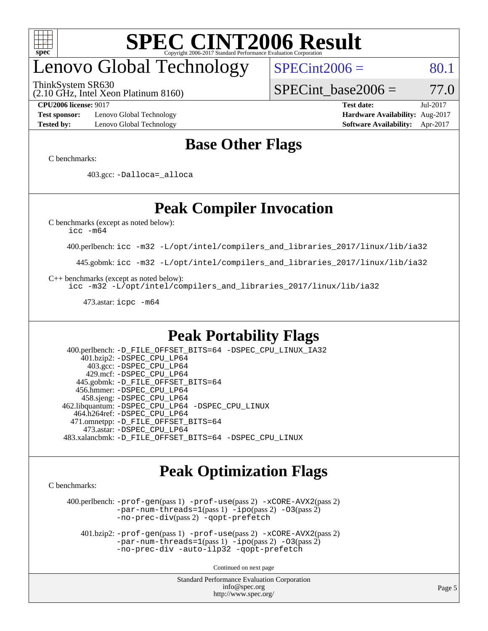

## enovo Global Technology

ThinkSystem SR630

 $SPECint2006 = 80.1$  $SPECint2006 = 80.1$ 

(2.10 GHz, Intel Xeon Platinum 8160)

SPECint base2006 =  $77.0$ 

**[Test sponsor:](http://www.spec.org/auto/cpu2006/Docs/result-fields.html#Testsponsor)** Lenovo Global Technology **[Hardware Availability:](http://www.spec.org/auto/cpu2006/Docs/result-fields.html#HardwareAvailability)** Aug-2017 **[Tested by:](http://www.spec.org/auto/cpu2006/Docs/result-fields.html#Testedby)** Lenovo Global Technology **[Software Availability:](http://www.spec.org/auto/cpu2006/Docs/result-fields.html#SoftwareAvailability)** Apr-2017

**[CPU2006 license:](http://www.spec.org/auto/cpu2006/Docs/result-fields.html#CPU2006license)** 9017 **[Test date:](http://www.spec.org/auto/cpu2006/Docs/result-fields.html#Testdate)** Jul-2017

### **[Base Other Flags](http://www.spec.org/auto/cpu2006/Docs/result-fields.html#BaseOtherFlags)**

[C benchmarks](http://www.spec.org/auto/cpu2006/Docs/result-fields.html#Cbenchmarks):

403.gcc: [-Dalloca=\\_alloca](http://www.spec.org/cpu2006/results/res2017q4/cpu2006-20170918-49563.flags.html#b403.gcc_baseEXTRA_CFLAGS_Dalloca_be3056838c12de2578596ca5467af7f3)

### **[Peak Compiler Invocation](http://www.spec.org/auto/cpu2006/Docs/result-fields.html#PeakCompilerInvocation)**

[C benchmarks \(except as noted below\)](http://www.spec.org/auto/cpu2006/Docs/result-fields.html#Cbenchmarksexceptasnotedbelow):

[icc -m64](http://www.spec.org/cpu2006/results/res2017q4/cpu2006-20170918-49563.flags.html#user_CCpeak_intel_icc_64bit_bda6cc9af1fdbb0edc3795bac97ada53)

400.perlbench: [icc -m32 -L/opt/intel/compilers\\_and\\_libraries\\_2017/linux/lib/ia32](http://www.spec.org/cpu2006/results/res2017q4/cpu2006-20170918-49563.flags.html#user_peakCCLD400_perlbench_intel_icc_c29f3ff5a7ed067b11e4ec10a03f03ae)

445.gobmk: [icc -m32 -L/opt/intel/compilers\\_and\\_libraries\\_2017/linux/lib/ia32](http://www.spec.org/cpu2006/results/res2017q4/cpu2006-20170918-49563.flags.html#user_peakCCLD445_gobmk_intel_icc_c29f3ff5a7ed067b11e4ec10a03f03ae)

[C++ benchmarks \(except as noted below\):](http://www.spec.org/auto/cpu2006/Docs/result-fields.html#CXXbenchmarksexceptasnotedbelow)

[icc -m32 -L/opt/intel/compilers\\_and\\_libraries\\_2017/linux/lib/ia32](http://www.spec.org/cpu2006/results/res2017q4/cpu2006-20170918-49563.flags.html#user_CXXpeak_intel_icc_c29f3ff5a7ed067b11e4ec10a03f03ae)

473.astar: [icpc -m64](http://www.spec.org/cpu2006/results/res2017q4/cpu2006-20170918-49563.flags.html#user_peakCXXLD473_astar_intel_icpc_64bit_fc66a5337ce925472a5c54ad6a0de310)

### **[Peak Portability Flags](http://www.spec.org/auto/cpu2006/Docs/result-fields.html#PeakPortabilityFlags)**

 400.perlbench: [-D\\_FILE\\_OFFSET\\_BITS=64](http://www.spec.org/cpu2006/results/res2017q4/cpu2006-20170918-49563.flags.html#user_peakPORTABILITY400_perlbench_file_offset_bits_64_438cf9856305ebd76870a2c6dc2689ab) [-DSPEC\\_CPU\\_LINUX\\_IA32](http://www.spec.org/cpu2006/results/res2017q4/cpu2006-20170918-49563.flags.html#b400.perlbench_peakCPORTABILITY_DSPEC_CPU_LINUX_IA32) 401.bzip2: [-DSPEC\\_CPU\\_LP64](http://www.spec.org/cpu2006/results/res2017q4/cpu2006-20170918-49563.flags.html#suite_peakPORTABILITY401_bzip2_DSPEC_CPU_LP64) 403.gcc: [-DSPEC\\_CPU\\_LP64](http://www.spec.org/cpu2006/results/res2017q4/cpu2006-20170918-49563.flags.html#suite_peakPORTABILITY403_gcc_DSPEC_CPU_LP64) 429.mcf: [-DSPEC\\_CPU\\_LP64](http://www.spec.org/cpu2006/results/res2017q4/cpu2006-20170918-49563.flags.html#suite_peakPORTABILITY429_mcf_DSPEC_CPU_LP64) 445.gobmk: [-D\\_FILE\\_OFFSET\\_BITS=64](http://www.spec.org/cpu2006/results/res2017q4/cpu2006-20170918-49563.flags.html#user_peakPORTABILITY445_gobmk_file_offset_bits_64_438cf9856305ebd76870a2c6dc2689ab) 456.hmmer: [-DSPEC\\_CPU\\_LP64](http://www.spec.org/cpu2006/results/res2017q4/cpu2006-20170918-49563.flags.html#suite_peakPORTABILITY456_hmmer_DSPEC_CPU_LP64) 458.sjeng: [-DSPEC\\_CPU\\_LP64](http://www.spec.org/cpu2006/results/res2017q4/cpu2006-20170918-49563.flags.html#suite_peakPORTABILITY458_sjeng_DSPEC_CPU_LP64) 462.libquantum: [-DSPEC\\_CPU\\_LP64](http://www.spec.org/cpu2006/results/res2017q4/cpu2006-20170918-49563.flags.html#suite_peakPORTABILITY462_libquantum_DSPEC_CPU_LP64) [-DSPEC\\_CPU\\_LINUX](http://www.spec.org/cpu2006/results/res2017q4/cpu2006-20170918-49563.flags.html#b462.libquantum_peakCPORTABILITY_DSPEC_CPU_LINUX) 464.h264ref: [-DSPEC\\_CPU\\_LP64](http://www.spec.org/cpu2006/results/res2017q4/cpu2006-20170918-49563.flags.html#suite_peakPORTABILITY464_h264ref_DSPEC_CPU_LP64) 471.omnetpp: [-D\\_FILE\\_OFFSET\\_BITS=64](http://www.spec.org/cpu2006/results/res2017q4/cpu2006-20170918-49563.flags.html#user_peakPORTABILITY471_omnetpp_file_offset_bits_64_438cf9856305ebd76870a2c6dc2689ab) 473.astar: [-DSPEC\\_CPU\\_LP64](http://www.spec.org/cpu2006/results/res2017q4/cpu2006-20170918-49563.flags.html#suite_peakPORTABILITY473_astar_DSPEC_CPU_LP64) 483.xalancbmk: [-D\\_FILE\\_OFFSET\\_BITS=64](http://www.spec.org/cpu2006/results/res2017q4/cpu2006-20170918-49563.flags.html#user_peakPORTABILITY483_xalancbmk_file_offset_bits_64_438cf9856305ebd76870a2c6dc2689ab) [-DSPEC\\_CPU\\_LINUX](http://www.spec.org/cpu2006/results/res2017q4/cpu2006-20170918-49563.flags.html#b483.xalancbmk_peakCXXPORTABILITY_DSPEC_CPU_LINUX)

### **[Peak Optimization Flags](http://www.spec.org/auto/cpu2006/Docs/result-fields.html#PeakOptimizationFlags)**

[C benchmarks](http://www.spec.org/auto/cpu2006/Docs/result-fields.html#Cbenchmarks):

 400.perlbench: [-prof-gen](http://www.spec.org/cpu2006/results/res2017q4/cpu2006-20170918-49563.flags.html#user_peakPASS1_CFLAGSPASS1_LDCFLAGS400_perlbench_prof_gen_e43856698f6ca7b7e442dfd80e94a8fc)(pass 1) [-prof-use](http://www.spec.org/cpu2006/results/res2017q4/cpu2006-20170918-49563.flags.html#user_peakPASS2_CFLAGSPASS2_LDCFLAGS400_perlbench_prof_use_bccf7792157ff70d64e32fe3e1250b55)(pass 2) [-xCORE-AVX2](http://www.spec.org/cpu2006/results/res2017q4/cpu2006-20170918-49563.flags.html#user_peakPASS2_CFLAGSPASS2_LDCFLAGS400_perlbench_f-xCORE-AVX2)(pass 2) [-par-num-threads=1](http://www.spec.org/cpu2006/results/res2017q4/cpu2006-20170918-49563.flags.html#user_peakPASS1_CFLAGSPASS1_LDCFLAGS400_perlbench_par_num_threads_786a6ff141b4e9e90432e998842df6c2)(pass 1) [-ipo](http://www.spec.org/cpu2006/results/res2017q4/cpu2006-20170918-49563.flags.html#user_peakPASS2_CFLAGSPASS2_LDCFLAGS400_perlbench_f-ipo)(pass 2) [-O3](http://www.spec.org/cpu2006/results/res2017q4/cpu2006-20170918-49563.flags.html#user_peakPASS2_CFLAGSPASS2_LDCFLAGS400_perlbench_f-O3)(pass 2) [-no-prec-div](http://www.spec.org/cpu2006/results/res2017q4/cpu2006-20170918-49563.flags.html#user_peakPASS2_CFLAGSPASS2_LDCFLAGS400_perlbench_f-no-prec-div)(pass 2) [-qopt-prefetch](http://www.spec.org/cpu2006/results/res2017q4/cpu2006-20170918-49563.flags.html#user_peakCOPTIMIZE400_perlbench_f-qopt-prefetch)

 401.bzip2: [-prof-gen](http://www.spec.org/cpu2006/results/res2017q4/cpu2006-20170918-49563.flags.html#user_peakPASS1_CFLAGSPASS1_LDCFLAGS401_bzip2_prof_gen_e43856698f6ca7b7e442dfd80e94a8fc)(pass 1) [-prof-use](http://www.spec.org/cpu2006/results/res2017q4/cpu2006-20170918-49563.flags.html#user_peakPASS2_CFLAGSPASS2_LDCFLAGS401_bzip2_prof_use_bccf7792157ff70d64e32fe3e1250b55)(pass 2) [-xCORE-AVX2](http://www.spec.org/cpu2006/results/res2017q4/cpu2006-20170918-49563.flags.html#user_peakPASS2_CFLAGSPASS2_LDCFLAGS401_bzip2_f-xCORE-AVX2)(pass 2)  $-par-num-threads=1(pass 1) -ipo(pass 2) -O3(pass 2)$  $-par-num-threads=1(pass 1) -ipo(pass 2) -O3(pass 2)$  $-par-num-threads=1(pass 1) -ipo(pass 2) -O3(pass 2)$  $-par-num-threads=1(pass 1) -ipo(pass 2) -O3(pass 2)$  $-par-num-threads=1(pass 1) -ipo(pass 2) -O3(pass 2)$  $-par-num-threads=1(pass 1) -ipo(pass 2) -O3(pass 2)$ [-no-prec-div](http://www.spec.org/cpu2006/results/res2017q4/cpu2006-20170918-49563.flags.html#user_peakCOPTIMIZEPASS2_CFLAGSPASS2_LDCFLAGS401_bzip2_f-no-prec-div) [-auto-ilp32](http://www.spec.org/cpu2006/results/res2017q4/cpu2006-20170918-49563.flags.html#user_peakCOPTIMIZE401_bzip2_f-auto-ilp32) [-qopt-prefetch](http://www.spec.org/cpu2006/results/res2017q4/cpu2006-20170918-49563.flags.html#user_peakCOPTIMIZE401_bzip2_f-qopt-prefetch)

Continued on next page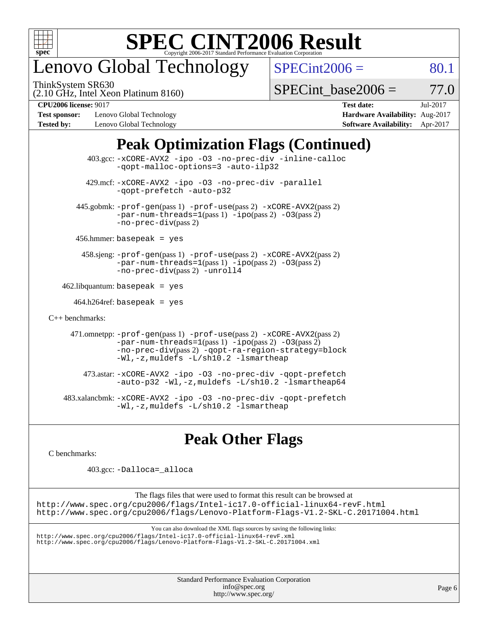

### enovo Global Technology

ThinkSystem SR630

 $SPECint2006 = 80.1$  $SPECint2006 = 80.1$ 

(2.10 GHz, Intel Xeon Platinum 8160)

SPECint base2006 =  $77.0$ 

**[Test sponsor:](http://www.spec.org/auto/cpu2006/Docs/result-fields.html#Testsponsor)** Lenovo Global Technology **[Hardware Availability:](http://www.spec.org/auto/cpu2006/Docs/result-fields.html#HardwareAvailability)** Aug-2017 **[Tested by:](http://www.spec.org/auto/cpu2006/Docs/result-fields.html#Testedby)** Lenovo Global Technology **[Software Availability:](http://www.spec.org/auto/cpu2006/Docs/result-fields.html#SoftwareAvailability)** Apr-2017

**[CPU2006 license:](http://www.spec.org/auto/cpu2006/Docs/result-fields.html#CPU2006license)** 9017 **[Test date:](http://www.spec.org/auto/cpu2006/Docs/result-fields.html#Testdate)** Jul-2017

### **[Peak Optimization Flags \(Continued\)](http://www.spec.org/auto/cpu2006/Docs/result-fields.html#PeakOptimizationFlags)**

 403.gcc: [-xCORE-AVX2](http://www.spec.org/cpu2006/results/res2017q4/cpu2006-20170918-49563.flags.html#user_peakOPTIMIZE403_gcc_f-xCORE-AVX2) [-ipo](http://www.spec.org/cpu2006/results/res2017q4/cpu2006-20170918-49563.flags.html#user_peakOPTIMIZE403_gcc_f-ipo) [-O3](http://www.spec.org/cpu2006/results/res2017q4/cpu2006-20170918-49563.flags.html#user_peakOPTIMIZE403_gcc_f-O3) [-no-prec-div](http://www.spec.org/cpu2006/results/res2017q4/cpu2006-20170918-49563.flags.html#user_peakOPTIMIZE403_gcc_f-no-prec-div) [-inline-calloc](http://www.spec.org/cpu2006/results/res2017q4/cpu2006-20170918-49563.flags.html#user_peakCOPTIMIZE403_gcc_f-inline-calloc) [-qopt-malloc-options=3](http://www.spec.org/cpu2006/results/res2017q4/cpu2006-20170918-49563.flags.html#user_peakCOPTIMIZE403_gcc_f-qopt-malloc-options_0fcb435012e78f27d57f473818e45fe4) [-auto-ilp32](http://www.spec.org/cpu2006/results/res2017q4/cpu2006-20170918-49563.flags.html#user_peakCOPTIMIZE403_gcc_f-auto-ilp32) 429.mcf: [-xCORE-AVX2](http://www.spec.org/cpu2006/results/res2017q4/cpu2006-20170918-49563.flags.html#user_peakOPTIMIZE429_mcf_f-xCORE-AVX2) [-ipo](http://www.spec.org/cpu2006/results/res2017q4/cpu2006-20170918-49563.flags.html#user_peakOPTIMIZE429_mcf_f-ipo) [-O3](http://www.spec.org/cpu2006/results/res2017q4/cpu2006-20170918-49563.flags.html#user_peakOPTIMIZE429_mcf_f-O3) [-no-prec-div](http://www.spec.org/cpu2006/results/res2017q4/cpu2006-20170918-49563.flags.html#user_peakOPTIMIZE429_mcf_f-no-prec-div) [-parallel](http://www.spec.org/cpu2006/results/res2017q4/cpu2006-20170918-49563.flags.html#user_peakCOPTIMIZE429_mcf_f-parallel) [-qopt-prefetch](http://www.spec.org/cpu2006/results/res2017q4/cpu2006-20170918-49563.flags.html#user_peakCOPTIMIZE429_mcf_f-qopt-prefetch) [-auto-p32](http://www.spec.org/cpu2006/results/res2017q4/cpu2006-20170918-49563.flags.html#user_peakCOPTIMIZE429_mcf_f-auto-p32) 445.gobmk: [-prof-gen](http://www.spec.org/cpu2006/results/res2017q4/cpu2006-20170918-49563.flags.html#user_peakPASS1_CFLAGSPASS1_LDCFLAGS445_gobmk_prof_gen_e43856698f6ca7b7e442dfd80e94a8fc)(pass 1) [-prof-use](http://www.spec.org/cpu2006/results/res2017q4/cpu2006-20170918-49563.flags.html#user_peakPASS2_CFLAGSPASS2_LDCFLAGS445_gobmk_prof_use_bccf7792157ff70d64e32fe3e1250b55)(pass 2) [-xCORE-AVX2](http://www.spec.org/cpu2006/results/res2017q4/cpu2006-20170918-49563.flags.html#user_peakPASS2_CFLAGSPASS2_LDCFLAGS445_gobmk_f-xCORE-AVX2)(pass 2)  $-par-num-threads=1(pass 1) -ipo(pass 2) -O3(pass 2)$  $-par-num-threads=1(pass 1) -ipo(pass 2) -O3(pass 2)$  $-par-num-threads=1(pass 1) -ipo(pass 2) -O3(pass 2)$  $-par-num-threads=1(pass 1) -ipo(pass 2) -O3(pass 2)$  $-par-num-threads=1(pass 1) -ipo(pass 2) -O3(pass 2)$  $-par-num-threads=1(pass 1) -ipo(pass 2) -O3(pass 2)$ [-no-prec-div](http://www.spec.org/cpu2006/results/res2017q4/cpu2006-20170918-49563.flags.html#user_peakPASS2_CFLAGSPASS2_LDCFLAGS445_gobmk_f-no-prec-div)(pass 2) 456.hmmer: basepeak = yes 458.sjeng: [-prof-gen](http://www.spec.org/cpu2006/results/res2017q4/cpu2006-20170918-49563.flags.html#user_peakPASS1_CFLAGSPASS1_LDCFLAGS458_sjeng_prof_gen_e43856698f6ca7b7e442dfd80e94a8fc)(pass 1) [-prof-use](http://www.spec.org/cpu2006/results/res2017q4/cpu2006-20170918-49563.flags.html#user_peakPASS2_CFLAGSPASS2_LDCFLAGS458_sjeng_prof_use_bccf7792157ff70d64e32fe3e1250b55)(pass 2) [-xCORE-AVX2](http://www.spec.org/cpu2006/results/res2017q4/cpu2006-20170918-49563.flags.html#user_peakPASS2_CFLAGSPASS2_LDCFLAGS458_sjeng_f-xCORE-AVX2)(pass 2) [-par-num-threads=1](http://www.spec.org/cpu2006/results/res2017q4/cpu2006-20170918-49563.flags.html#user_peakPASS1_CFLAGSPASS1_LDCFLAGS458_sjeng_par_num_threads_786a6ff141b4e9e90432e998842df6c2)(pass 1) [-ipo](http://www.spec.org/cpu2006/results/res2017q4/cpu2006-20170918-49563.flags.html#user_peakPASS2_CFLAGSPASS2_LDCFLAGS458_sjeng_f-ipo)(pass 2) [-O3](http://www.spec.org/cpu2006/results/res2017q4/cpu2006-20170918-49563.flags.html#user_peakPASS2_CFLAGSPASS2_LDCFLAGS458_sjeng_f-O3)(pass 2) [-no-prec-div](http://www.spec.org/cpu2006/results/res2017q4/cpu2006-20170918-49563.flags.html#user_peakPASS2_CFLAGSPASS2_LDCFLAGS458_sjeng_f-no-prec-div)(pass 2) [-unroll4](http://www.spec.org/cpu2006/results/res2017q4/cpu2006-20170918-49563.flags.html#user_peakCOPTIMIZE458_sjeng_f-unroll_4e5e4ed65b7fd20bdcd365bec371b81f)  $462$ .libquantum: basepeak = yes  $464.h264$ ref: basepeak = yes [C++ benchmarks:](http://www.spec.org/auto/cpu2006/Docs/result-fields.html#CXXbenchmarks) 471.omnetpp: [-prof-gen](http://www.spec.org/cpu2006/results/res2017q4/cpu2006-20170918-49563.flags.html#user_peakPASS1_CXXFLAGSPASS1_LDCXXFLAGS471_omnetpp_prof_gen_e43856698f6ca7b7e442dfd80e94a8fc)(pass 1) [-prof-use](http://www.spec.org/cpu2006/results/res2017q4/cpu2006-20170918-49563.flags.html#user_peakPASS2_CXXFLAGSPASS2_LDCXXFLAGS471_omnetpp_prof_use_bccf7792157ff70d64e32fe3e1250b55)(pass 2) [-xCORE-AVX2](http://www.spec.org/cpu2006/results/res2017q4/cpu2006-20170918-49563.flags.html#user_peakPASS2_CXXFLAGSPASS2_LDCXXFLAGS471_omnetpp_f-xCORE-AVX2)(pass 2)  $-par-num-threads=1(pass 1) -ipo(pass 2) -O3(pass 2)$  $-par-num-threads=1(pass 1) -ipo(pass 2) -O3(pass 2)$  $-par-num-threads=1(pass 1) -ipo(pass 2) -O3(pass 2)$  $-par-num-threads=1(pass 1) -ipo(pass 2) -O3(pass 2)$  $-par-num-threads=1(pass 1) -ipo(pass 2) -O3(pass 2)$  $-par-num-threads=1(pass 1) -ipo(pass 2) -O3(pass 2)$ [-no-prec-div](http://www.spec.org/cpu2006/results/res2017q4/cpu2006-20170918-49563.flags.html#user_peakPASS2_CXXFLAGSPASS2_LDCXXFLAGS471_omnetpp_f-no-prec-div)(pass 2) [-qopt-ra-region-strategy=block](http://www.spec.org/cpu2006/results/res2017q4/cpu2006-20170918-49563.flags.html#user_peakCXXOPTIMIZE471_omnetpp_f-qopt-ra-region-strategy_0f7b543d62da454b380160c0e3b28f94) [-Wl,-z,muldefs](http://www.spec.org/cpu2006/results/res2017q4/cpu2006-20170918-49563.flags.html#user_peakEXTRA_LDFLAGS471_omnetpp_link_force_multiple1_74079c344b956b9658436fd1b6dd3a8a) [-L/sh10.2 -lsmartheap](http://www.spec.org/cpu2006/results/res2017q4/cpu2006-20170918-49563.flags.html#user_peakEXTRA_LIBS471_omnetpp_SmartHeap_b831f2d313e2fffa6dfe3f00ffc1f1c0) 473.astar: [-xCORE-AVX2](http://www.spec.org/cpu2006/results/res2017q4/cpu2006-20170918-49563.flags.html#user_peakOPTIMIZE473_astar_f-xCORE-AVX2) [-ipo](http://www.spec.org/cpu2006/results/res2017q4/cpu2006-20170918-49563.flags.html#user_peakOPTIMIZE473_astar_f-ipo) [-O3](http://www.spec.org/cpu2006/results/res2017q4/cpu2006-20170918-49563.flags.html#user_peakOPTIMIZE473_astar_f-O3) [-no-prec-div](http://www.spec.org/cpu2006/results/res2017q4/cpu2006-20170918-49563.flags.html#user_peakOPTIMIZE473_astar_f-no-prec-div) [-qopt-prefetch](http://www.spec.org/cpu2006/results/res2017q4/cpu2006-20170918-49563.flags.html#user_peakCXXOPTIMIZE473_astar_f-qopt-prefetch) [-auto-p32](http://www.spec.org/cpu2006/results/res2017q4/cpu2006-20170918-49563.flags.html#user_peakCXXOPTIMIZE473_astar_f-auto-p32) [-Wl,-z,muldefs](http://www.spec.org/cpu2006/results/res2017q4/cpu2006-20170918-49563.flags.html#user_peakEXTRA_LDFLAGS473_astar_link_force_multiple1_74079c344b956b9658436fd1b6dd3a8a) [-L/sh10.2 -lsmartheap64](http://www.spec.org/cpu2006/results/res2017q4/cpu2006-20170918-49563.flags.html#user_peakEXTRA_LIBS473_astar_SmartHeap64_63911d860fc08c15fa1d5bf319b9d8d5) 483.xalancbmk: [-xCORE-AVX2](http://www.spec.org/cpu2006/results/res2017q4/cpu2006-20170918-49563.flags.html#user_peakOPTIMIZE483_xalancbmk_f-xCORE-AVX2) [-ipo](http://www.spec.org/cpu2006/results/res2017q4/cpu2006-20170918-49563.flags.html#user_peakOPTIMIZE483_xalancbmk_f-ipo) [-O3](http://www.spec.org/cpu2006/results/res2017q4/cpu2006-20170918-49563.flags.html#user_peakOPTIMIZE483_xalancbmk_f-O3) [-no-prec-div](http://www.spec.org/cpu2006/results/res2017q4/cpu2006-20170918-49563.flags.html#user_peakOPTIMIZE483_xalancbmk_f-no-prec-div) [-qopt-prefetch](http://www.spec.org/cpu2006/results/res2017q4/cpu2006-20170918-49563.flags.html#user_peakCXXOPTIMIZE483_xalancbmk_f-qopt-prefetch) [-Wl,-z,muldefs](http://www.spec.org/cpu2006/results/res2017q4/cpu2006-20170918-49563.flags.html#user_peakEXTRA_LDFLAGS483_xalancbmk_link_force_multiple1_74079c344b956b9658436fd1b6dd3a8a) [-L/sh10.2 -lsmartheap](http://www.spec.org/cpu2006/results/res2017q4/cpu2006-20170918-49563.flags.html#user_peakEXTRA_LIBS483_xalancbmk_SmartHeap_b831f2d313e2fffa6dfe3f00ffc1f1c0)

**[Peak Other Flags](http://www.spec.org/auto/cpu2006/Docs/result-fields.html#PeakOtherFlags)**

[C benchmarks](http://www.spec.org/auto/cpu2006/Docs/result-fields.html#Cbenchmarks):

403.gcc: [-Dalloca=\\_alloca](http://www.spec.org/cpu2006/results/res2017q4/cpu2006-20170918-49563.flags.html#b403.gcc_peakEXTRA_CFLAGS_Dalloca_be3056838c12de2578596ca5467af7f3)

The flags files that were used to format this result can be browsed at <http://www.spec.org/cpu2006/flags/Intel-ic17.0-official-linux64-revF.html> <http://www.spec.org/cpu2006/flags/Lenovo-Platform-Flags-V1.2-SKL-C.20171004.html>

You can also download the XML flags sources by saving the following links:

<http://www.spec.org/cpu2006/flags/Intel-ic17.0-official-linux64-revF.xml> <http://www.spec.org/cpu2006/flags/Lenovo-Platform-Flags-V1.2-SKL-C.20171004.xml>